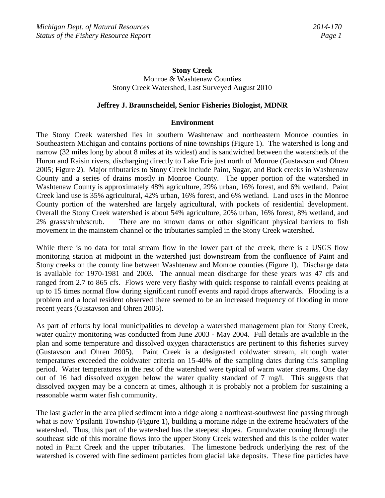# **Stony Creek** Monroe & Washtenaw Counties Stony Creek Watershed, Last Surveyed August 2010

#### **Jeffrey J. Braunscheidel, Senior Fisheries Biologist, MDNR**

#### **Environment**

The Stony Creek watershed lies in southern Washtenaw and northeastern Monroe counties in Southeastern Michigan and contains portions of nine townships (Figure 1). The watershed is long and narrow (32 miles long by about 8 miles at its widest) and is sandwiched between the watersheds of the Huron and Raisin rivers, discharging directly to Lake Erie just north of Monroe (Gustavson and Ohren 2005; Figure 2). Major tributaries to Stony Creek include Paint, Sugar, and Buck creeks in Washtenaw County and a series of drains mostly in Monroe County. The upper portion of the watershed in Washtenaw County is approximately 48% agriculture, 29% urban, 16% forest, and 6% wetland. Paint Creek land use is 35% agricultural, 42% urban, 16% forest, and 6% wetland. Land uses in the Monroe County portion of the watershed are largely agricultural, with pockets of residential development. Overall the Stony Creek watershed is about 54% agriculture, 20% urban, 16% forest, 8% wetland, and 2% grass/shrub/scrub. There are no known dams or other significant physical barriers to fish movement in the mainstem channel or the tributaries sampled in the Stony Creek watershed.

While there is no data for total stream flow in the lower part of the creek, there is a USGS flow monitoring station at midpoint in the watershed just downstream from the confluence of Paint and Stony creeks on the county line between Washtenaw and Monroe counties (Figure 1). Discharge data is available for 1970-1981 and 2003. The annual mean discharge for these years was 47 cfs and ranged from 2.7 to 865 cfs. Flows were very flashy with quick response to rainfall events peaking at up to 15 times normal flow during significant runoff events and rapid drops afterwards. Flooding is a problem and a local resident observed there seemed to be an increased frequency of flooding in more recent years (Gustavson and Ohren 2005).

As part of efforts by local municipalities to develop a watershed management plan for Stony Creek, water quality monitoring was conducted from June 2003 - May 2004. Full details are available in the plan and some temperature and dissolved oxygen characteristics are pertinent to this fisheries survey (Gustavson and Ohren 2005). Paint Creek is a designated coldwater stream, although water temperatures exceeded the coldwater criteria on 15-40% of the sampling dates during this sampling period. Water temperatures in the rest of the watershed were typical of warm water streams. One day out of 16 had dissolved oxygen below the water quality standard of 7 mg/l. This suggests that dissolved oxygen may be a concern at times, although it is probably not a problem for sustaining a reasonable warm water fish community.

The last glacier in the area piled sediment into a ridge along a northeast-southwest line passing through what is now Ypsilanti Township (Figure 1), building a moraine ridge in the extreme headwaters of the watershed. Thus, this part of the watershed has the steepest slopes. Groundwater coming through the southeast side of this moraine flows into the upper Stony Creek watershed and this is the colder water noted in Paint Creek and the upper tributaries. The limestone bedrock underlying the rest of the watershed is covered with fine sediment particles from glacial lake deposits. These fine particles have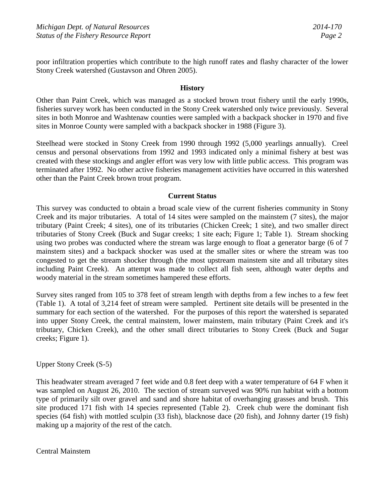poor infiltration properties which contribute to the high runoff rates and flashy character of the lower Stony Creek watershed (Gustavson and Ohren 2005).

## **History**

Other than Paint Creek, which was managed as a stocked brown trout fishery until the early 1990s, fisheries survey work has been conducted in the Stony Creek watershed only twice previously. Several sites in both Monroe and Washtenaw counties were sampled with a backpack shocker in 1970 and five sites in Monroe County were sampled with a backpack shocker in 1988 (Figure 3).

Steelhead were stocked in Stony Creek from 1990 through 1992 (5,000 yearlings annually). Creel census and personal observations from 1992 and 1993 indicated only a minimal fishery at best was created with these stockings and angler effort was very low with little public access. This program was terminated after 1992. No other active fisheries management activities have occurred in this watershed other than the Paint Creek brown trout program.

#### **Current Status**

This survey was conducted to obtain a broad scale view of the current fisheries community in Stony Creek and its major tributaries. A total of 14 sites were sampled on the mainstem (7 sites), the major tributary (Paint Creek; 4 sites), one of its tributaries (Chicken Creek; 1 site), and two smaller direct tributaries of Stony Creek (Buck and Sugar creeks; 1 site each; Figure 1; Table 1). Stream shocking using two probes was conducted where the stream was large enough to float a generator barge (6 of 7 mainstem sites) and a backpack shocker was used at the smaller sites or where the stream was too congested to get the stream shocker through (the most upstream mainstem site and all tributary sites including Paint Creek). An attempt was made to collect all fish seen, although water depths and woody material in the stream sometimes hampered these efforts.

Survey sites ranged from 105 to 378 feet of stream length with depths from a few inches to a few feet (Table 1). A total of 3,214 feet of stream were sampled. Pertinent site details will be presented in the summary for each section of the watershed. For the purposes of this report the watershed is separated into upper Stony Creek, the central mainstem, lower mainstem, main tributary (Paint Creek and it's tributary, Chicken Creek), and the other small direct tributaries to Stony Creek (Buck and Sugar creeks; Figure 1).

Upper Stony Creek (S-5)

This headwater stream averaged 7 feet wide and 0.8 feet deep with a water temperature of 64 F when it was sampled on August 26, 2010. The section of stream surveyed was 90% run habitat with a bottom type of primarily silt over gravel and sand and shore habitat of overhanging grasses and brush. This site produced 171 fish with 14 species represented (Table 2). Creek chub were the dominant fish species (64 fish) with mottled sculpin (33 fish), blacknose dace (20 fish), and Johnny darter (19 fish) making up a majority of the rest of the catch.

Central Mainstem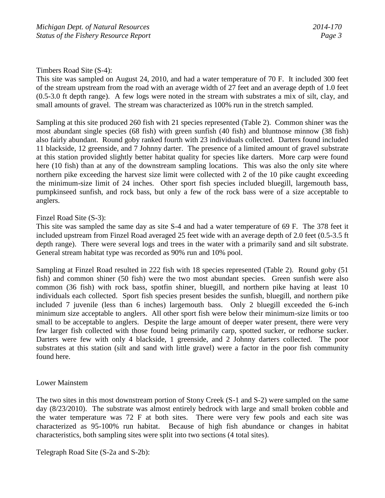## Timbers Road Site (S-4):

This site was sampled on August 24, 2010, and had a water temperature of 70 F. It included 300 feet of the stream upstream from the road with an average width of 27 feet and an average depth of 1.0 feet (0.5-3.0 ft depth range). A few logs were noted in the stream with substrates a mix of silt, clay, and small amounts of gravel. The stream was characterized as 100% run in the stretch sampled.

Sampling at this site produced 260 fish with 21 species represented (Table 2). Common shiner was the most abundant single species (68 fish) with green sunfish (40 fish) and bluntnose minnow (38 fish) also fairly abundant. Round goby ranked fourth with 23 individuals collected. Darters found included 11 blackside, 12 greenside, and 7 Johnny darter. The presence of a limited amount of gravel substrate at this station provided slightly better habitat quality for species like darters. More carp were found here (10 fish) than at any of the downstream sampling locations. This was also the only site where northern pike exceeding the harvest size limit were collected with 2 of the 10 pike caught exceeding the minimum-size limit of 24 inches. Other sport fish species included bluegill, largemouth bass, pumpkinseed sunfish, and rock bass, but only a few of the rock bass were of a size acceptable to anglers.

#### Finzel Road Site (S-3):

This site was sampled the same day as site S-4 and had a water temperature of 69 F. The 378 feet it included upstream from Finzel Road averaged 25 feet wide with an average depth of 2.0 feet (0.5-3.5 ft depth range). There were several logs and trees in the water with a primarily sand and silt substrate. General stream habitat type was recorded as 90% run and 10% pool.

Sampling at Finzel Road resulted in 222 fish with 18 species represented (Table 2). Round goby (51 fish) and common shiner (50 fish) were the two most abundant species. Green sunfish were also common (36 fish) with rock bass, spotfin shiner, bluegill, and northern pike having at least 10 individuals each collected. Sport fish species present besides the sunfish, bluegill, and northern pike included 7 juvenile (less than 6 inches) largemouth bass. Only 2 bluegill exceeded the 6-inch minimum size acceptable to anglers. All other sport fish were below their minimum-size limits or too small to be acceptable to anglers. Despite the large amount of deeper water present, there were very few larger fish collected with those found being primarily carp, spotted sucker, or redhorse sucker. Darters were few with only 4 blackside, 1 greenside, and 2 Johnny darters collected. The poor substrates at this station (silt and sand with little gravel) were a factor in the poor fish community found here.

## Lower Mainstem

The two sites in this most downstream portion of Stony Creek (S-1 and S-2) were sampled on the same day (8/23/2010). The substrate was almost entirely bedrock with large and small broken cobble and the water temperature was 72 F at both sites. There were very few pools and each site was characterized as 95-100% run habitat. Because of high fish abundance or changes in habitat characteristics, both sampling sites were split into two sections (4 total sites).

Telegraph Road Site (S-2a and S-2b):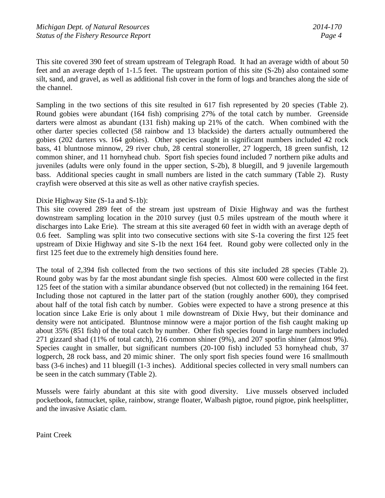This site covered 390 feet of stream upstream of Telegraph Road. It had an average width of about 50 feet and an average depth of 1-1.5 feet. The upstream portion of this site (S-2b) also contained some silt, sand, and gravel, as well as additional fish cover in the form of logs and branches along the side of the channel.

Sampling in the two sections of this site resulted in 617 fish represented by 20 species (Table 2). Round gobies were abundant (164 fish) comprising 27% of the total catch by number. Greenside darters were almost as abundant (131 fish) making up 21% of the catch. When combined with the other darter species collected (58 rainbow and 13 blackside) the darters actually outnumbered the gobies (202 darters vs. 164 gobies). Other species caught in significant numbers included 42 rock bass, 41 bluntnose minnow, 29 river chub, 28 central stoneroller, 27 logperch, 18 green sunfish, 12 common shiner, and 11 hornyhead chub. Sport fish species found included 7 northern pike adults and juveniles (adults were only found in the upper section, S-2b), 8 bluegill, and 9 juvenile largemouth bass. Additional species caught in small numbers are listed in the catch summary (Table 2). Rusty crayfish were observed at this site as well as other native crayfish species.

## Dixie Highway Site (S-1a and S-1b):

This site covered 289 feet of the stream just upstream of Dixie Highway and was the furthest downstream sampling location in the 2010 survey (just 0.5 miles upstream of the mouth where it discharges into Lake Erie). The stream at this site averaged 60 feet in width with an average depth of 0.6 feet. Sampling was split into two consecutive sections with site S-1a covering the first 125 feet upstream of Dixie Highway and site S-1b the next 164 feet. Round goby were collected only in the first 125 feet due to the extremely high densities found here.

The total of 2,394 fish collected from the two sections of this site included 28 species (Table 2). Round goby was by far the most abundant single fish species. Almost 600 were collected in the first 125 feet of the station with a similar abundance observed (but not collected) in the remaining 164 feet. Including those not captured in the latter part of the station (roughly another 600), they comprised about half of the total fish catch by number. Gobies were expected to have a strong presence at this location since Lake Erie is only about 1 mile downstream of Dixie Hwy, but their dominance and density were not anticipated. Bluntnose minnow were a major portion of the fish caught making up about 35% (851 fish) of the total catch by number. Other fish species found in large numbers included 271 gizzard shad (11% of total catch), 216 common shiner (9%), and 207 spotfin shiner (almost 9%). Species caught in smaller, but significant numbers (20-100 fish) included 53 hornyhead chub, 37 logperch, 28 rock bass, and 20 mimic shiner. The only sport fish species found were 16 smallmouth bass (3-6 inches) and 11 bluegill (1-3 inches). Additional species collected in very small numbers can be seen in the catch summary (Table 2).

Mussels were fairly abundant at this site with good diversity. Live mussels observed included pocketbook, fatmucket, spike, rainbow, strange floater, Walbash pigtoe, round pigtoe, pink heelsplitter, and the invasive Asiatic clam.

Paint Creek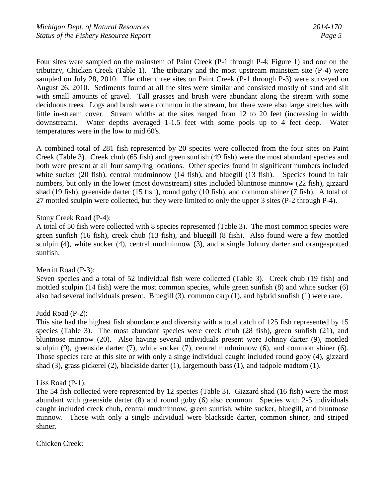Four sites were sampled on the mainstem of Paint Creek (P-1 through P-4; Figure 1) and one on the tributary, Chicken Creek (Table 1). The tributary and the most upstream mainstem site (P-4) were sampled on July 28, 2010. The other three sites on Paint Creek (P-1 through P-3) were surveyed on August 26, 2010. Sediments found at all the sites were similar and consisted mostly of sand and silt with small amounts of gravel. Tall grasses and brush were abundant along the stream with some deciduous trees. Logs and brush were common in the stream, but there were also large stretches with little in-stream cover. Stream widths at the sites ranged from 12 to 20 feet (increasing in width downstream). Water depths averaged 1-1.5 feet with some pools up to 4 feet deep. Water temperatures were in the low to mid 60's.

A combined total of 281 fish represented by 20 species were collected from the four sites on Paint Creek (Table 3). Creek chub (65 fish) and green sunfish (49 fish) were the most abundant species and both were present at all four sampling locations. Other species found in significant numbers included white sucker (20 fish), central mudminnow (14 fish), and bluegill (13 fish). Species found in fair numbers, but only in the lower (most downstream) sites included bluntnose minnow (22 fish), gizzard shad (19 fish), greenside darter (15 fish), round goby (10 fish), and common shiner (7 fish). A total of 27 mottled sculpin were collected, but they were limited to only the upper 3 sites (P-2 through P-4).

## Stony Creek Road (P-4):

A total of 50 fish were collected with 8 species represented (Table 3). The most common species were green sunfish (16 fish), creek chub (13 fish), and bluegill (8 fish). Also found were a few mottled sculpin (4), white sucker (4), central mudminnow (3), and a single Johnny darter and orangespotted sunfish.

## Merritt Road (P-3):

Seven species and a total of 52 individual fish were collected (Table 3). Creek chub (19 fish) and mottled sculpin (14 fish) were the most common species, while green sunfish (8) and white sucker (6) also had several individuals present. Bluegill (3), common carp (1), and hybrid sunfish (1) were rare.

## Judd Road (P-2):

This site had the highest fish abundance and diversity with a total catch of 125 fish represented by 15 species (Table 3). The most abundant species were creek chub (28 fish), green sunfish (21), and bluntnose minnow (20). Also having several individuals present were Johnny darter (9), mottled sculpin (9), greenside darter (7), white sucker (7), central mudminnow (6), and common shiner (6). Those species rare at this site or with only a singe individual caught included round goby (4), gizzard shad (3), grass pickerel (2), blackside darter (1), largemouth bass (1), and tadpole madtom (1).

#### Liss Road (P-1):

The 54 fish collected were represented by 12 species (Table 3). Gizzard shad (16 fish) were the most abundant with greenside darter (8) and round goby (6) also common. Species with 2-5 individuals caught included creek chub, central mudminnow, green sunfish, white sucker, bluegill, and bluntnose minnow. Those with only a single individual were blackside darter, common shiner, and striped shiner.

Chicken Creek: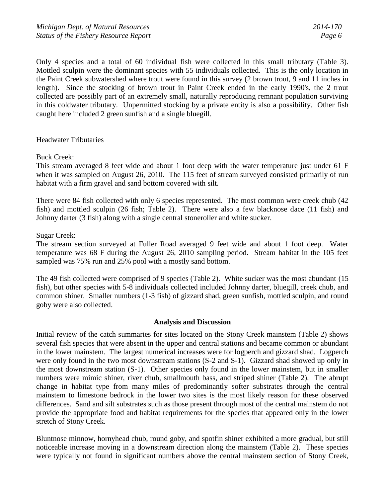Only 4 species and a total of 60 individual fish were collected in this small tributary (Table 3). Mottled sculpin were the dominant species with 55 individuals collected. This is the only location in the Paint Creek subwatershed where trout were found in this survey (2 brown trout, 9 and 11 inches in length). Since the stocking of brown trout in Paint Creek ended in the early 1990's, the 2 trout collected are possibly part of an extremely small, naturally reproducing remnant population surviving in this coldwater tributary. Unpermitted stocking by a private entity is also a possibility. Other fish caught here included 2 green sunfish and a single bluegill.

#### Headwater Tributaries

Buck Creek:

This stream averaged 8 feet wide and about 1 foot deep with the water temperature just under 61 F when it was sampled on August 26, 2010. The 115 feet of stream surveyed consisted primarily of run habitat with a firm gravel and sand bottom covered with silt.

There were 84 fish collected with only 6 species represented. The most common were creek chub (42 fish) and mottled sculpin (26 fish; Table 2). There were also a few blacknose dace (11 fish) and Johnny darter (3 fish) along with a single central stoneroller and white sucker.

#### Sugar Creek:

The stream section surveyed at Fuller Road averaged 9 feet wide and about 1 foot deep. Water temperature was 68 F during the August 26, 2010 sampling period. Stream habitat in the 105 feet sampled was 75% run and 25% pool with a mostly sand bottom.

The 49 fish collected were comprised of 9 species (Table 2). White sucker was the most abundant (15 fish), but other species with 5-8 individuals collected included Johnny darter, bluegill, creek chub, and common shiner. Smaller numbers (1-3 fish) of gizzard shad, green sunfish, mottled sculpin, and round goby were also collected.

#### **Analysis and Discussion**

Initial review of the catch summaries for sites located on the Stony Creek mainstem (Table 2) shows several fish species that were absent in the upper and central stations and became common or abundant in the lower mainstem. The largest numerical increases were for logperch and gizzard shad. Logperch were only found in the two most downstream stations (S-2 and S-1). Gizzard shad showed up only in the most downstream station (S-1). Other species only found in the lower mainstem, but in smaller numbers were mimic shiner, river chub, smallmouth bass, and striped shiner (Table 2). The abrupt change in habitat type from many miles of predominantly softer substrates through the central mainstem to limestone bedrock in the lower two sites is the most likely reason for these observed differences. Sand and silt substrates such as those present through most of the central mainstem do not provide the appropriate food and habitat requirements for the species that appeared only in the lower stretch of Stony Creek.

Bluntnose minnow, hornyhead chub, round goby, and spotfin shiner exhibited a more gradual, but still noticeable increase moving in a downstream direction along the mainstem (Table 2). These species were typically not found in significant numbers above the central mainstem section of Stony Creek,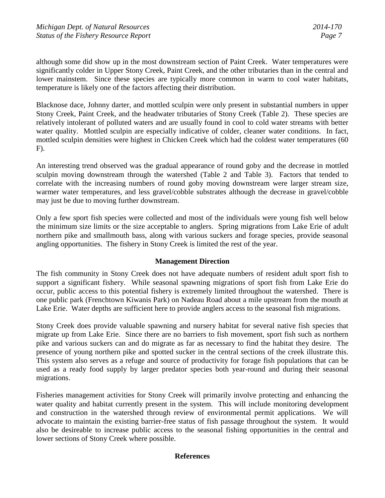although some did show up in the most downstream section of Paint Creek. Water temperatures were significantly colder in Upper Stony Creek, Paint Creek, and the other tributaries than in the central and lower mainstem. Since these species are typically more common in warm to cool water habitats, temperature is likely one of the factors affecting their distribution.

Blacknose dace, Johnny darter, and mottled sculpin were only present in substantial numbers in upper Stony Creek, Paint Creek, and the headwater tributaries of Stony Creek (Table 2). These species are relatively intolerant of polluted waters and are usually found in cool to cold water streams with better water quality. Mottled sculpin are especially indicative of colder, cleaner water conditions. In fact, mottled sculpin densities were highest in Chicken Creek which had the coldest water temperatures (60 F).

An interesting trend observed was the gradual appearance of round goby and the decrease in mottled sculpin moving downstream through the watershed (Table 2 and Table 3). Factors that tended to correlate with the increasing numbers of round goby moving downstream were larger stream size, warmer water temperatures, and less gravel/cobble substrates although the decrease in gravel/cobble may just be due to moving further downstream.

Only a few sport fish species were collected and most of the individuals were young fish well below the minimum size limits or the size acceptable to anglers. Spring migrations from Lake Erie of adult northern pike and smallmouth bass, along with various suckers and forage species, provide seasonal angling opportunities. The fishery in Stony Creek is limited the rest of the year.

## **Management Direction**

The fish community in Stony Creek does not have adequate numbers of resident adult sport fish to support a significant fishery. While seasonal spawning migrations of sport fish from Lake Erie do occur, public access to this potential fishery is extremely limited throughout the watershed. There is one public park (Frenchtown Kiwanis Park) on Nadeau Road about a mile upstream from the mouth at Lake Erie. Water depths are sufficient here to provide anglers access to the seasonal fish migrations.

Stony Creek does provide valuable spawning and nursery habitat for several native fish species that migrate up from Lake Erie. Since there are no barriers to fish movement, sport fish such as northern pike and various suckers can and do migrate as far as necessary to find the habitat they desire. The presence of young northern pike and spotted sucker in the central sections of the creek illustrate this. This system also serves as a refuge and source of productivity for forage fish populations that can be used as a ready food supply by larger predator species both year-round and during their seasonal migrations.

Fisheries management activities for Stony Creek will primarily involve protecting and enhancing the water quality and habitat currently present in the system. This will include monitoring development and construction in the watershed through review of environmental permit applications. We will advocate to maintain the existing barrier-free status of fish passage throughout the system. It would also be desireable to increase public access to the seasonal fishing opportunities in the central and lower sections of Stony Creek where possible.

## **References**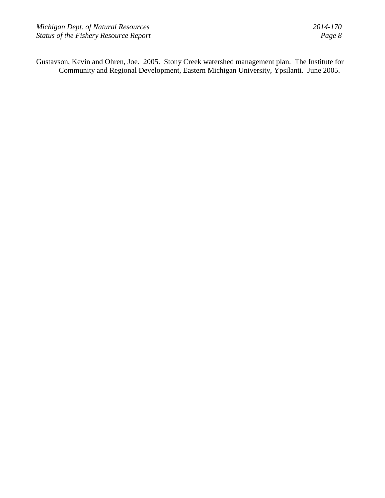Gustavson, Kevin and Ohren, Joe. 2005. Stony Creek watershed management plan. The Institute for Community and Regional Development, Eastern Michigan University, Ypsilanti. June 2005.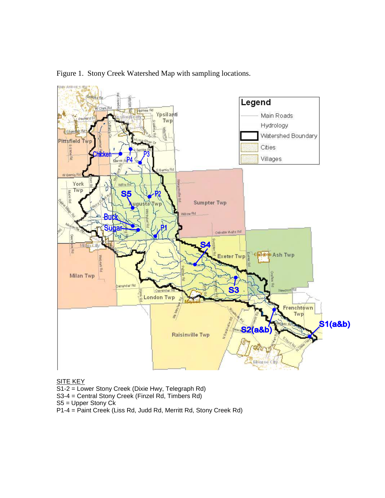

Figure 1. Stony Creek Watershed Map with sampling locations.

SITE KEY

- S1-2 = Lower Stony Creek (Dixie Hwy, Telegraph Rd)
- S3-4 = Central Stony Creek (Finzel Rd, Timbers Rd)
- S5 = Upper Stony Ck
- P1-4 = Paint Creek (Liss Rd, Judd Rd, Merritt Rd, Stony Creek Rd)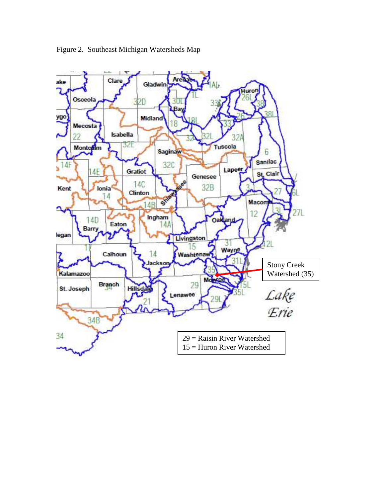

Figure 2. Southeast Michigan Watersheds Map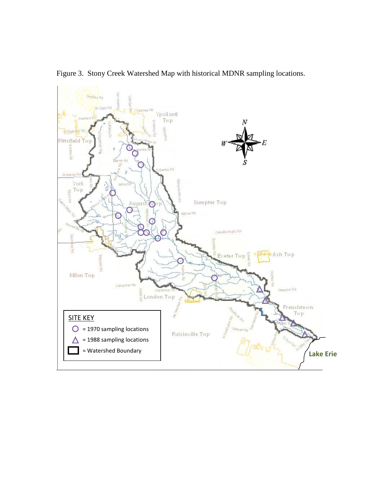

Figure 3. Stony Creek Watershed Map with historical MDNR sampling locations.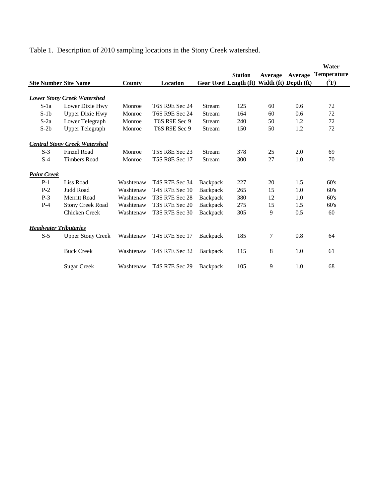Table 1. Description of 2010 sampling locations in the Stony Creek watershed.

|                              |                                      |           |                       |                 |                       |         |                       | Water              |
|------------------------------|--------------------------------------|-----------|-----------------------|-----------------|-----------------------|---------|-----------------------|--------------------|
|                              |                                      |           |                       |                 | <b>Station</b>        | Average | Average               | <b>Temperature</b> |
| <b>Site Number Site Name</b> |                                      | County    | Location              |                 | Gear Used Length (ft) |         | Width (ft) Depth (ft) | $(^0F)$            |
|                              | <b>Lower Stony Creek Watershed</b>   |           |                       |                 |                       |         |                       |                    |
| $S$ -1a                      | Lower Dixie Hwy                      | Monroe    | <b>T6S R9E Sec 24</b> | Stream          | 125                   | 60      | 0.6                   | 72                 |
| $S-1b$                       | <b>Upper Dixie Hwy</b>               | Monroe    | <b>T6S R9E Sec 24</b> | Stream          | 164                   | 60      | 0.6                   | 72                 |
| $S-2a$                       | Lower Telegraph                      | Monroe    | T6S R9E Sec 9         | Stream          | 240                   | 50      | 1.2                   | 72                 |
| $S-2b$                       | <b>Upper Telegraph</b>               | Monroe    | T6S R9E Sec 9         | Stream          | 150                   | 50      | 1.2                   | 72                 |
|                              | <b>Central Stony Creek Watershed</b> |           |                       |                 |                       |         |                       |                    |
| $S-3$                        | Finzel Road                          | Monroe    | <b>T5S R8E Sec 23</b> | Stream          | 378                   | 25      | 2.0                   | 69                 |
| $S-4$                        | <b>Timbers Road</b>                  | Monroe    | <b>T5S R8E Sec 17</b> | Stream          | 300                   | 27      | 1.0                   | 70                 |
| <b>Paint Creek</b>           |                                      |           |                       |                 |                       |         |                       |                    |
| $P-1$                        | Liss Road                            | Washtenaw | T4S R7E Sec 34        | <b>Backpack</b> | 227                   | 20      | 1.5                   | 60's               |
| $P-2$                        | Judd Road                            | Washtenaw | <b>T4S R7E Sec 10</b> | Backpack        | 265                   | 15      | 1.0                   | 60's               |
| $P-3$                        | Merritt Road                         | Washtenaw | T3S R7E Sec 28        | Backpack        | 380                   | 12      | 1.0                   | 60's               |
| $P-4$                        | <b>Stony Creek Road</b>              | Washtenaw | T3S R7E Sec 20        | Backpack        | 275                   | 15      | 1.5                   | 60's               |
|                              | Chicken Creek                        | Washtenaw | T3S R7E Sec 30        | Backpack        | 305                   | 9       | 0.5                   | 60                 |
| <b>Headwater Tributaries</b> |                                      |           |                       |                 |                       |         |                       |                    |
| $S-5$                        | <b>Upper Stony Creek</b>             | Washtenaw | T4S R7E Sec 17        | <b>Backpack</b> | 185                   | 7       | 0.8                   | 64                 |
|                              | <b>Buck Creek</b>                    | Washtenaw | T4S R7E Sec 32        | <b>Backpack</b> | 115                   | 8       | 1.0                   | 61                 |
|                              | <b>Sugar Creek</b>                   | Washtenaw | <b>T4S R7E Sec 29</b> | Backpack        | 105                   | 9       | 1.0                   | 68                 |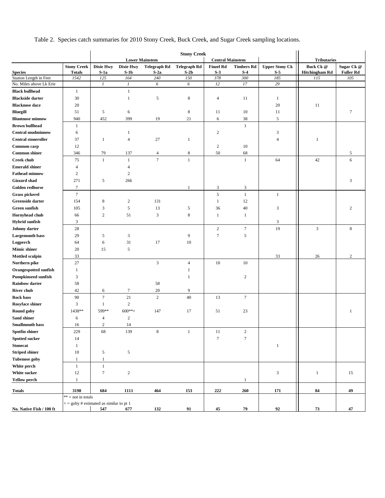Table 2. Species catch summaries for 2010 Stony Creek, Buck Creek, and Sugar Creek sampling locations.

|                              |                                          | <b>Stony Creek</b> |                  |                       |                     |                         |                             |                             |                       |                  |  |
|------------------------------|------------------------------------------|--------------------|------------------|-----------------------|---------------------|-------------------------|-----------------------------|-----------------------------|-----------------------|------------------|--|
|                              |                                          |                    |                  | <b>Lower Mainstem</b> |                     | <b>Central Mainstem</b> |                             |                             | <b>Tributaries</b>    |                  |  |
|                              | <b>Stony Creek</b>                       | <b>Dixie Hwy</b>   | <b>Dixie Hwy</b> | <b>Telegraph Rd</b>   | <b>Telegraph Rd</b> | <b>Finzel Rd</b>        | <b>Timbers Rd</b>           | <b>Upper Stony Ck</b>       | <b>Buck Ck @</b>      | Sugar Ck @       |  |
| <b>Species</b>               | <b>Totals</b>                            | $S-1a$             | $S-1b$           | $S-2a$                | $S-2b$              | $S-3$                   | $S-4$                       | $S-5$                       | <b>Hitchingham Rd</b> | <b>Fuller Rd</b> |  |
| Station Length in Feet       | 1542                                     | 125                | 164              | 240                   | 150                 | 378                     | 300                         | 185                         | 115                   | 105              |  |
| No. Miles above Lk Erie      |                                          | $\boldsymbol{l}$   | 1                | 6                     | 6                   | 12                      | 17                          | 29                          |                       |                  |  |
| <b>Black bullhead</b>        | -1                                       |                    | $\mathbf{1}$     |                       |                     |                         |                             |                             |                       |                  |  |
| <b>Blackside darter</b>      | 30                                       |                    | $\mathbf{1}$     | 5                     | 8                   | $\overline{4}$          | 11                          | $\mathbf{1}$                |                       |                  |  |
| <b>Blacknose</b> dace        | 20                                       |                    |                  |                       |                     |                         |                             | 20                          | 11                    |                  |  |
| Bluegill                     | 51                                       | 5                  | 6                |                       | $\,$ 8 $\,$         | 11                      | 10                          | 11                          |                       | $\tau$           |  |
| <b>Bluntnose minnow</b>      | 940                                      | 452                | 399              | 19                    | 21                  | 6                       | 38                          | 5                           |                       |                  |  |
| <b>Brown bullhead</b>        | $\mathbf{1}$                             |                    |                  |                       |                     |                         | $\mathbf{1}$                |                             |                       |                  |  |
| <b>Central mudminnow</b>     | 6                                        |                    | 1                |                       |                     | $\mathfrak{2}$          |                             | 3                           |                       |                  |  |
| <b>Central stoneroller</b>   | 37                                       | $\mathbf{1}$       | $\overline{4}$   | 27                    | $\mathbf{1}$        |                         |                             | $\overline{4}$              | $\mathbf{1}$          |                  |  |
| Common carp                  | 12                                       |                    |                  |                       |                     | $\boldsymbol{2}$        | 10                          |                             |                       |                  |  |
| <b>Common shiner</b>         | 346                                      | 79                 | 137              | $\overline{4}$        | 8                   | 50                      | 68                          |                             |                       | 5                |  |
| <b>Creek chub</b>            | 75                                       | $\mathbf{1}$       | $\mathbf{1}$     | $\tau$                | $\mathbf{1}$        |                         | $\mathbf{1}$                | 64                          | 42                    | 6                |  |
| <b>Emerald shiner</b>        | $\overline{4}$                           |                    | $\Delta$         |                       |                     |                         |                             |                             |                       |                  |  |
| <b>Fathead minnow</b>        | $\overline{c}$                           |                    | $\overline{2}$   |                       |                     |                         |                             |                             |                       |                  |  |
| <b>Gizzard</b> shad          | 271                                      | 5                  | 266              |                       |                     |                         |                             |                             |                       | 3                |  |
| Golden redhorse              | $\tau$                                   |                    |                  |                       | 1                   | $\mathfrak z$           | $\ensuremath{\mathfrak{Z}}$ |                             |                       |                  |  |
| <b>Grass pickerel</b>        | $\boldsymbol{7}$                         |                    |                  |                       |                     | 5                       | $\,1$                       | $\mathbf{1}$                |                       |                  |  |
| Greenside darter             | 154                                      | 8                  | $\overline{c}$   | 131                   |                     | $\mathbf{1}$            | 12                          |                             |                       |                  |  |
| Green sunfish                | 105                                      | 3                  | $\sqrt{5}$       | 13                    | 5                   | 36                      | 40                          | 3                           |                       | 2                |  |
| <b>Hornyhead chub</b>        | 66                                       | $\sqrt{2}$         | 51               | 3                     | $\,8\,$             | $\mathbf{1}$            | $\mathbf{1}$                |                             |                       |                  |  |
| <b>Hybrid sunfish</b>        | 3                                        |                    |                  |                       |                     |                         |                             | 3                           |                       |                  |  |
| Johnny darter                | 28                                       |                    |                  |                       |                     | $\boldsymbol{2}$        | $\tau$                      | 19                          | $\mathfrak{Z}$        | 8                |  |
| <b>Largemouth bass</b>       | 29                                       | 5                  | 3                |                       | 9                   | $\tau$                  | 5                           |                             |                       |                  |  |
| Logperch                     | 64                                       | 6                  | 31               | 17                    | 10                  |                         |                             |                             |                       |                  |  |
| <b>Mimic shiner</b>          | 20                                       | 15                 | $\sqrt{5}$       |                       |                     |                         |                             |                             |                       |                  |  |
| <b>Mottled sculpin</b>       | 33                                       |                    |                  |                       |                     |                         |                             | 33                          | 26                    | $\overline{c}$   |  |
| Northern pike                | 27                                       |                    |                  | 3                     | $\overline{4}$      | 10                      | 10                          |                             |                       |                  |  |
| <b>Orangespotted sunfish</b> | $\mathbf{1}$                             |                    |                  |                       | 1                   |                         |                             |                             |                       |                  |  |
| <b>Pumpkinseed sunfish</b>   | 3                                        |                    |                  |                       | 1                   |                         | $\overline{c}$              |                             |                       |                  |  |
| <b>Rainbow darter</b>        | 58                                       |                    |                  | 58                    |                     |                         |                             |                             |                       |                  |  |
| River chub                   | 42                                       | 6                  | $\tau$           | 20                    | 9                   |                         |                             |                             |                       |                  |  |
| <b>Rock bass</b>             | 90                                       | $\tau$             | 21               | $\sqrt{2}$            | 40                  | 13                      | $\tau$                      |                             |                       |                  |  |
| Rosyface shiner              | 3                                        | $\mathbf{1}$       | $\sqrt{2}$       |                       |                     |                         |                             |                             |                       |                  |  |
| Round goby                   | 1438**                                   | 599**              | $600**+$         | 147                   | 17                  | 51                      | 23                          |                             |                       | $\mathbf{1}$     |  |
| Sand shiner                  | 6                                        | $\overline{4}$     | $\sqrt{2}$       |                       |                     |                         |                             |                             |                       |                  |  |
| <b>Smallmouth bass</b>       | 16                                       | $\overline{2}$     | 14               |                       |                     |                         |                             |                             |                       |                  |  |
| Spotfin shiner               | 229                                      | 68                 | 139              | $\,$ 8 $\,$           | $\mathbf{1}$        | $11\,$                  | $\sqrt{2}$                  |                             |                       |                  |  |
| <b>Spotted sucker</b>        | 14                                       |                    |                  |                       |                     | $\boldsymbol{7}$        | $\boldsymbol{7}$            |                             |                       |                  |  |
| <b>Stonecat</b>              |                                          |                    |                  |                       |                     |                         |                             |                             |                       |                  |  |
|                              | $\mathbf{1}$                             |                    |                  |                       |                     |                         |                             | $\mathbf{1}$                |                       |                  |  |
| <b>Striped shiner</b>        | 10                                       | 5                  | $\sqrt{5}$       |                       |                     |                         |                             |                             |                       |                  |  |
| <b>Tubenose goby</b>         | $\mathbf{1}$                             | $\mathbf{1}$       |                  |                       |                     |                         |                             |                             |                       |                  |  |
| White perch                  | $\mathbf{1}$                             | $\mathbf{1}$       |                  |                       |                     |                         |                             |                             |                       |                  |  |
| White sucker                 | 12                                       | $\boldsymbol{7}$   | $\sqrt{2}$       |                       |                     |                         |                             | $\ensuremath{\mathfrak{Z}}$ | $\mathbf{1}$          | 15               |  |
| <b>Yellow perch</b>          | $\mathbf{1}$                             |                    |                  |                       |                     |                         | $\mathbf{1}$                |                             |                       |                  |  |
| <b>Totals</b>                | 3198                                     | 684                | 1111             | 464                   | 153                 | 222                     | $260$                       | 171                         | 84                    | 49               |  |
|                              | $** = not in totals$                     |                    |                  |                       |                     |                         |                             |                             |                       |                  |  |
|                              | $+=$ goby # estimated as similar to pt 1 |                    |                  |                       |                     |                         |                             |                             |                       |                  |  |
| No. Native Fish / 100 ft     |                                          | 547                | 677              | 132                   | 91                  | 45                      | 79                          | 92                          | 73                    | 47               |  |